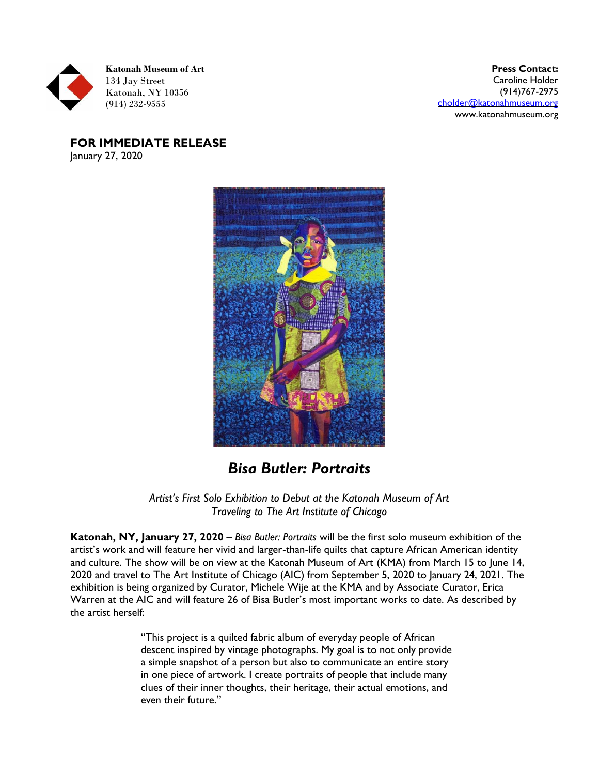

**Press Contact:**  Caroline Holder (914)767-2975 [cholder@katonahmuseum.org](mailto:cholder@katonahmuseum.org) www.katonahmuseum.org

**FOR IMMEDIATE RELEASE** January 27, 2020



## *Bisa Butler: Portraits*

*Artist's First Solo Exhibition to Debut at the Katonah Museum of Art Traveling to The Art Institute of Chicago* 

**Katonah, NY, January 27, 2020** – *Bisa Butler: Portraits* will be the first solo museum exhibition of the artist's work and will feature her vivid and larger-than-life quilts that capture African American identity and culture. The show will be on view at the Katonah Museum of Art (KMA) from March 15 to June 14, 2020 and travel to The Art Institute of Chicago (AIC) from September 5, 2020 to January 24, 2021. The exhibition is being organized by Curator, Michele Wije at the KMA and by Associate Curator, Erica Warren at the AIC and will feature 26 of Bisa Butler's most important works to date. As described by the artist herself:

> "This project is a quilted fabric album of everyday people of African descent inspired by vintage photographs. My goal is to not only provide a simple snapshot of a person but also to communicate an entire story in one piece of artwork. I create portraits of people that include many clues of their inner thoughts, their heritage, their actual emotions, and even their future."